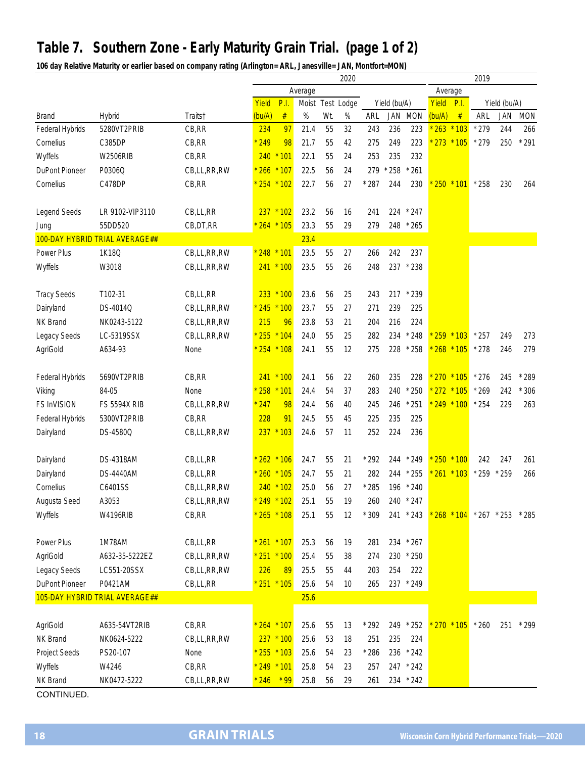## **Table 7. Southern Zone - Early Maturity Grain Trial. (page 1 of 2)**

**106 day Relative Maturity or earlier based on company rating (Arlington= ARL, Janesville= JAN, Montfort=MON)**

|                       |                                |             | 2020            |               |      |     |                  |              |     |           |               | 2019         |                         |     |            |  |
|-----------------------|--------------------------------|-------------|-----------------|---------------|------|-----|------------------|--------------|-----|-----------|---------------|--------------|-------------------------|-----|------------|--|
|                       |                                |             | Average         |               |      |     |                  |              |     | Average   |               |              |                         |     |            |  |
|                       |                                |             | Yield           | P.I.          |      |     | Moist Test Lodge | Yield (bu/A) |     | Yield     | P.I.          | Yield (bu/A) |                         |     |            |  |
| <b>Brand</b>          | Hybrid                         | Traits†     | (bu/A)          | $\#$          | %    | Wt. | $\%$             | ARL          |     | JAN MON   | (bu/A)        | $\#$         | ARL                     | JAN | <b>MON</b> |  |
| Federal Hybrids       | 5280VT2PRIB                    | CB, RR      | 234             | 97            | 21.4 | 55  | 32               | 243          | 236 | 223       | $* 263 * 103$ |              | $*279$                  | 244 | 266        |  |
| Cornelius             | C385DP                         | CB, RR      | 249             | 98            | 21.7 | 55  | 42               | 275          | 249 | 223       | 273           | $*105$       | $*279$                  | 250 | $*291$     |  |
| Wyffels               | <b>W2506RIB</b>                | CB,RR       |                 | $240 * 101$   | 22.1 | 55  | 24               | 253          | 235 | 232       |               |              |                         |     |            |  |
| <b>DuPont Pioneer</b> | P0306Q                         | CB,LL,RR,RW | * 266 * 107     |               | 22.5 | 56  | 24               | 279          | 258 | $*261$    |               |              |                         |     |            |  |
| Cornelius             | C478DP                         | CB, RR      |                 | $* 254 * 102$ | 22.7 | 56  | 27               | $*287$       | 244 | 230       |               | $250 * 101$  | $*258$                  | 230 | 264        |  |
|                       |                                |             |                 |               |      |     |                  |              |     |           |               |              |                         |     |            |  |
| Legend Seeds          | LR 9102-VIP3110                | CB,LL,RR    |                 | $237 * 102$   | 23.2 | 56  | 16               | 241          | 224 | $*247$    |               |              |                         |     |            |  |
| Jung                  | 55DD520                        | CB, DT, RR  |                 | $264 * 105$   | 23.3 | 55  | 29               | 279          |     | 248 * 265 |               |              |                         |     |            |  |
|                       | 100-DAY HYBRID TRIAL AVERAGE## |             |                 |               | 23.4 |     |                  |              |     |           |               |              |                         |     |            |  |
| Power Plus            | 1K18Q                          | CB,LL,RR,RW | * 248 * 101     |               | 23.5 | 55  | 27               | 266          | 242 | 237       |               |              |                         |     |            |  |
| Wyffels               | W3018                          | CB,LL,RR,RW |                 | 241 * 100     | 23.5 | 55  | 26               | 248          | 237 | $*238$    |               |              |                         |     |            |  |
|                       |                                |             |                 |               |      |     |                  |              |     |           |               |              |                         |     |            |  |
| <b>Tracy Seeds</b>    | T102-31                        | CB,LL,RR    |                 | 233 * 100     | 23.6 | 56  | 25               | 243          |     | 217 * 239 |               |              |                         |     |            |  |
| Dairyland             | DS-4014Q                       | CB,LL,RR,RW | * 245 * 100     |               | 23.7 | 55  | 27               | 271          | 239 | 225       |               |              |                         |     |            |  |
|                       |                                |             |                 |               |      |     |                  |              |     |           |               |              |                         |     |            |  |
| NK Brand              | NK0243-5122                    | CB,LL,RR,RW | 215             | 96            | 23.8 | 53  | 21               | 204          | 216 | 224       |               |              |                         |     |            |  |
| Legacy Seeds          | LC-5319SSX                     | CB,LL,RR,RW |                 | * 255 * 104   | 24.0 | 55  | 25               | 282          | 234 | $*248$    |               | $259 * 103$  | $*257$                  | 249 | 273        |  |
| AgriGold              | A634-93                        | None        |                 | $254 * 108$   | 24.1 | 55  | 12               | 275          | 228 | $*258$    | 268           | $*105$       | $*278$                  | 246 | 279        |  |
|                       |                                |             |                 |               |      |     |                  |              |     |           |               |              |                         |     |            |  |
| Federal Hybrids       | 5690VT2PRIB                    | CB,RR       |                 | $241 * 100$   | 24.1 | 56  | 22               | 260          | 235 | 228       | 270           | $*105$       | $*276$                  | 245 | $*289$     |  |
| Viking                | 84-05                          | None        | 258 * 101       |               | 24.4 | 54  | 37               | 283          | 240 | $*250$    |               | $272 * 105$  | $*269$                  | 242 | 306        |  |
| <b>FS InVISION</b>    | <b>FS 5594X RIB</b>            | CB,LL,RR,RW | 247             | 98            | 24.4 | 56  | 40               | 245          | 246 | $*251$    |               | $249 * 100$  | $*254$                  | 229 | 263        |  |
| Federal Hybrids       | 5300VT2PRIB                    | CB, RR      | 228             | 91            | 24.5 | 55  | 45               | 225          | 235 | 225       |               |              |                         |     |            |  |
| Dairyland             | DS-4580Q                       | CB,LL,RR,RW |                 | $237 * 103$   | 24.6 | 57  | 11               | 252          | 224 | 236       |               |              |                         |     |            |  |
|                       |                                |             |                 |               |      |     |                  |              |     |           |               |              |                         |     |            |  |
| Dairyland             | DS-4318AM                      | CB,LL,RR    | $* 262 * 106$   |               | 24.7 | 55  | 21               | $*292$       |     | 244 * 249 | $250 * 100$   |              | 242                     | 247 | 261        |  |
| Dairyland             | <b>DS-4440AM</b>               | CB,LL,RR    | * 260 * 105     |               | 24.7 | 55  | 21               | 282          | 244 | $*255$    |               | $261 * 103$  | $* 259 * 259$           |     | 266        |  |
| Cornelius             | C6401SS                        | CB,LL,RR,RW |                 | $240 * 102$   | 25.0 | 56  | 27               | $*285$       | 196 | $*240$    |               |              |                         |     |            |  |
| Augusta Seed          | A3053                          | CB,LL,RR,RW | $*$ 249 $*$ 102 |               | 25.1 | 55  | 19               | 260          |     | 240 * 247 |               |              |                         |     |            |  |
| Wyffels               | <b>W4196RIB</b>                | CB, RR      |                 | $* 265 * 108$ | 25.1 | 55  | 12               | $*309$       |     | 241 * 243 |               |              | * 268 * 104 * 267 * 253 |     | $*285$     |  |
|                       |                                |             |                 |               |      |     |                  |              |     |           |               |              |                         |     |            |  |
| Power Plus            | 1M78AM                         | CB,LL,RR    |                 | * 261 * 107   | 25.3 | 56  | 19               | 281          |     | 234 * 267 |               |              |                         |     |            |  |
| AgriGold              | A632-35-5222EZ                 | CB,LL,RR,RW |                 | * 251 * 100   | 25.4 | 55  | 38               | 274          |     | 230 * 250 |               |              |                         |     |            |  |
| Legacy Seeds          | LC551-20SSX                    | CB,LL,RR,RW | 226             | 89            | 25.5 | 55  | 44               | 203          | 254 | 222       |               |              |                         |     |            |  |
| DuPont Pioneer        | P0421AM                        | CB,LL,RR    |                 | $251 * 105$   | 25.6 | 54  | 10               | 265          |     | 237 * 249 |               |              |                         |     |            |  |
|                       | 105-DAY HYBRID TRIAL AVERAGE## |             |                 |               | 25.6 |     |                  |              |     |           |               |              |                         |     |            |  |
|                       |                                |             |                 |               |      |     |                  |              |     |           |               |              |                         |     |            |  |
| AgriGold              | A635-54VT2RIB                  | CB,RR       |                 | $264 * 107$   | 25.6 | 55  | 13               | $*292$       |     | 249 * 252 |               |              | $270 * 105 * 260$       | 251 | $*299$     |  |
| NK Brand              | NK0624-5222                    | CB,LL,RR,RW |                 | $237 * 100$   | 25.6 | 53  | 18               | 251          | 235 | 224       |               |              |                         |     |            |  |
| Project Seeds         | PS20-107                       | None        |                 | $* 255 * 103$ | 25.6 | 54  | 23               | $*286$       |     | 236 * 242 |               |              |                         |     |            |  |
|                       |                                |             | * 249 * 101     |               | 25.8 |     |                  |              |     |           |               |              |                         |     |            |  |
| Wyffels               | W4246                          | CB,RR       |                 |               |      | 54  | 23               | 257          |     | 247 * 242 |               |              |                         |     |            |  |
| NK Brand              | NK0472-5222                    | CB,LL,RR,RW | $*246$          | $*99$         | 25.8 | 56  | 29               | 261          |     | 234 * 242 |               |              |                         |     |            |  |
| CONTINUED.            |                                |             |                 |               |      |     |                  |              |     |           |               |              |                         |     |            |  |